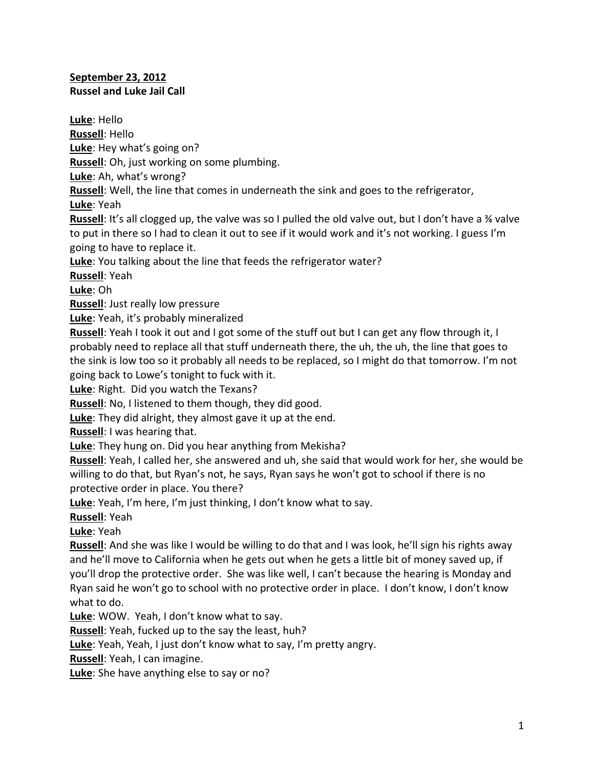## **September 23, 2012 Russel and Luke Jail Call**

**Luke**: Hello **Russell**: Hello **Luke**: Hey what's going on? **Russell**: Oh, just working on some plumbing. **Luke**: Ah, what's wrong? **Russell**: Well, the line that comes in underneath the sink and goes to the refrigerator, **Luke**: Yeah **Russell**: It's all clogged up, the valve was so I pulled the old valve out, but I don't have a ¾ valve to put in there so I had to clean it out to see if it would work and it's not working. I guess I'm going to have to replace it. **Luke**: You talking about the line that feeds the refrigerator water? **Russell**: Yeah **Luke**: Oh **Russell**: Just really low pressure **Luke**: Yeah, it's probably mineralized **Russell**: Yeah I took it out and I got some of the stuff out but I can get any flow through it, I probably need to replace all that stuff underneath there, the uh, the uh, the line that goes to the sink is low too so it probably all needs to be replaced, so I might do that tomorrow. I'm not going back to Lowe's tonight to fuck with it. **Luke**: Right. Did you watch the Texans? **Russell**: No, I listened to them though, they did good. **Luke**: They did alright, they almost gave it up at the end. **Russell**: I was hearing that. **Luke**: They hung on. Did you hear anything from Mekisha? **Russell**: Yeah, I called her, she answered and uh, she said that would work for her, she would be willing to do that, but Ryan's not, he says, Ryan says he won't got to school if there is no protective order in place. You there? **Luke**: Yeah, I'm here, I'm just thinking, I don't know what to say. **Russell**: Yeah **Luke**: Yeah Russell: And she was like I would be willing to do that and I was look, he'll sign his rights away and he'll move to California when he gets out when he gets a little bit of money saved up, if you'll drop the protective order. She was like well, I can't because the hearing is Monday and Ryan said he won't go to school with no protective order in place. I don't know, I don't know what to do. **Luke**: WOW. Yeah, I don't know what to say. **Russell**: Yeah, fucked up to the say the least, huh? **Luke**: Yeah, Yeah, I just don't know what to say, I'm pretty angry. **Russell**: Yeah, I can imagine. **Luke**: She have anything else to say or no?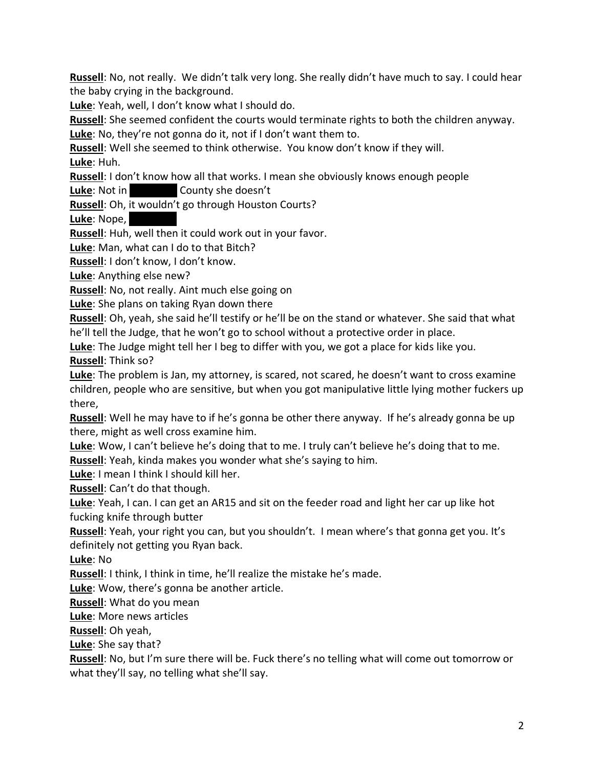**Russell**: No, not really. We didn't talk very long. She really didn't have much to say. I could hear the baby crying in the background.

**Luke**: Yeah, well, I don't know what I should do.

**Russell**: She seemed confident the courts would terminate rights to both the children anyway.

**Luke**: No, they're not gonna do it, not if I don't want them to.

**Russell**: Well she seemed to think otherwise. You know don't know if they will. **Luke**: Huh.

**Russell**: I don't know how all that works. I mean she obviously knows enough people

**Luke:** Not in Gounty she doesn't

**Russell**: Oh, it wouldn't go through Houston Courts?

**Luke**: Nope.

**Russell**: Huh, well then it could work out in your favor.

**Luke**: Man, what can I do to that Bitch?

**Russell**: I don't know, I don't know.

**Luke**: Anything else new?

**Russell**: No, not really. Aint much else going on

**Luke**: She plans on taking Ryan down there

**Russell**: Oh, yeah, she said he'll testify or he'll be on the stand or whatever. She said that what he'll tell the Judge, that he won't go to school without a protective order in place.

**Luke**: The Judge might tell her I beg to differ with you, we got a place for kids like you. **Russell**: Think so?

**Luke**: The problem is Jan, my attorney, is scared, not scared, he doesn't want to cross examine children, people who are sensitive, but when you got manipulative little lying mother fuckers up there,

**Russell**: Well he may have to if he's gonna be other there anyway. If he's already gonna be up there, might as well cross examine him.

**Luke**: Wow, I can't believe he's doing that to me. I truly can't believe he's doing that to me.

**Russell**: Yeah, kinda makes you wonder what she's saying to him.

**Luke**: I mean I think I should kill her.

**Russell**: Can't do that though.

**Luke**: Yeah, I can. I can get an AR15 and sit on the feeder road and light her car up like hot fucking knife through butter

**Russell**: Yeah, your right you can, but you shouldn't. I mean where's that gonna get you. It's definitely not getting you Ryan back.

**Luke**: No

**Russell**: I think, I think in time, he'll realize the mistake he's made.

**Luke**: Wow, there's gonna be another article.

**Russell**: What do you mean

**Luke**: More news articles

**Russell**: Oh yeah,

**Luke**: She say that?

**Russell**: No, but I'm sure there will be. Fuck there's no telling what will come out tomorrow or what they'll say, no telling what she'll say.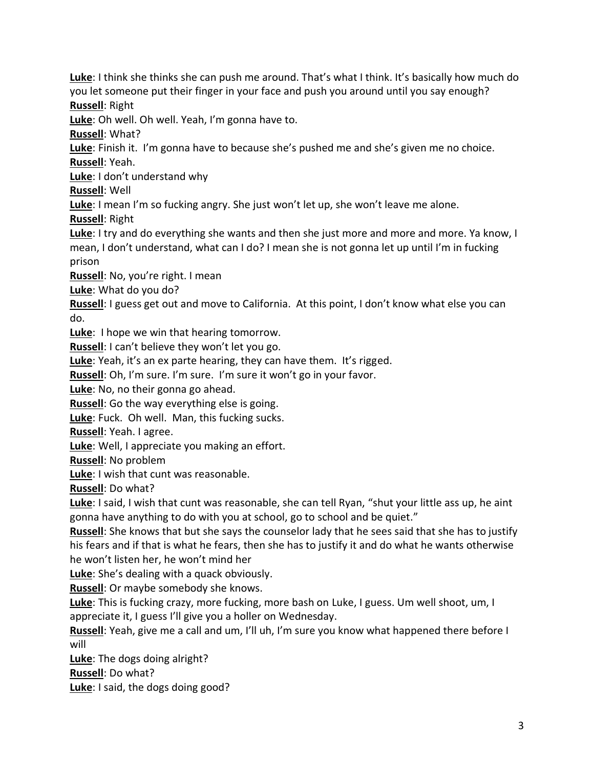**Luke**: I think she thinks she can push me around. That's what I think. It's basically how much do you let someone put their finger in your face and push you around until you say enough? **Russell**: Right

**Luke**: Oh well. Oh well. Yeah, I'm gonna have to.

**Russell**: What?

**Luke**: Finish it. I'm gonna have to because she's pushed me and she's given me no choice. **Russell**: Yeah.

**Luke**: I don't understand why

**Russell**: Well

**Luke**: I mean I'm so fucking angry. She just won't let up, she won't leave me alone.

**Russell**: Right

**Luke**: I try and do everything she wants and then she just more and more and more. Ya know, I mean, I don't understand, what can I do? I mean she is not gonna let up until I'm in fucking prison

**Russell**: No, you're right. I mean

**Luke**: What do you do?

**Russell**: I guess get out and move to California. At this point, I don't know what else you can do.

**Luke**: I hope we win that hearing tomorrow.

**Russell**: I can't believe they won't let you go.

**Luke**: Yeah, it's an ex parte hearing, they can have them. It's rigged.

**Russell**: Oh, I'm sure. I'm sure. I'm sure it won't go in your favor.

**Luke**: No, no their gonna go ahead.

**Russell**: Go the way everything else is going.

**Luke**: Fuck. Oh well. Man, this fucking sucks.

**Russell**: Yeah. I agree.

**Luke**: Well, I appreciate you making an effort.

**Russell**: No problem

**Luke**: I wish that cunt was reasonable.

**Russell**: Do what?

**Luke**: I said, I wish that cunt was reasonable, she can tell Ryan, "shut your little ass up, he aint gonna have anything to do with you at school, go to school and be quiet."

**Russell**: She knows that but she says the counselor lady that he sees said that she has to justify his fears and if that is what he fears, then she has to justify it and do what he wants otherwise he won't listen her, he won't mind her

**Luke**: She's dealing with a quack obviously.

**Russell**: Or maybe somebody she knows.

**Luke**: This is fucking crazy, more fucking, more bash on Luke, I guess. Um well shoot, um, I appreciate it, I guess I'll give you a holler on Wednesday.

**Russell**: Yeah, give me a call and um, I'll uh, I'm sure you know what happened there before I will

**Luke**: The dogs doing alright?

**Russell**: Do what?

**Luke**: I said, the dogs doing good?